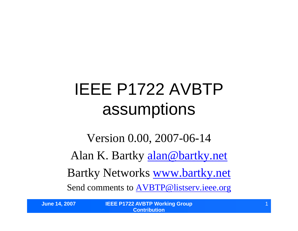#### IEEE P1722 AVBTP assumptions

Version 0.00, 2007-06-14 Alan K. Bartky alan@bartky.net Bartky Networks www.bartky.net Send comments to AVBTP@listserv.ieee.org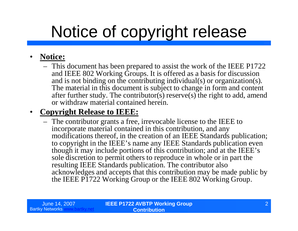### Notice of copyright release

#### • **Notice:**

– This document has been prepared to assist the work of the IEEE P1722 and IEEE 802 Working Groups. It is offered as a basis for discussion and is not binding on the contributing individual(s) or organization(s). The material in this document is subject to change in form and content after further study. The contributor(s) reserve(s) the right to add, amend or withdraw material contained herein.

#### • **Copyright Release to IEEE:**

– The contributor grants a free, irrevocable license to the IEEE to incorporate material contained in this contribution, and any modifications thereof, in the creation of an IEEE Standards publication; to copyright in the IEEE's name any IEEE Standards publication even though it may include portions of this contribution; and at the IEEE's sole discretion to permit others to reproduce in whole or in part the resulting IEEE Standards publication. The contributor also acknowledges and accepts that this contribution may be made public by the IEEE P1722 Working Group or the IEEE 802 Working Group.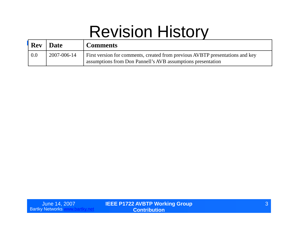#### Revision History

| <b>Rev</b> | <b>Date</b> | <b>Comments</b>                                                                                                                              |
|------------|-------------|----------------------------------------------------------------------------------------------------------------------------------------------|
| 0.0        | 2007-006-14 | First version for comments, created from previous AVBTP presentations and key<br>assumptions from Don Pannell's AVB assumptions presentation |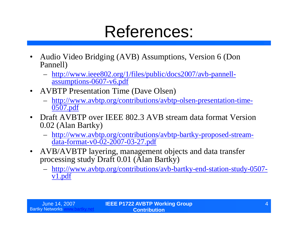#### References:

- Audio Video Bridging (AVB) Assumptions, Version 6 (Don Pannell)
	- http://www.ieee802.org/1/files/public/docs2007/avb-pannellassumptions-0607-v6.pdf
- AVBTP Presentation Time (Dave Olsen)
	- http://www.avbtp.org/contributions/avbtp-olsen-presentation-time-0507.pdf
- Draft AVBTP over IEEE 802.3 AVB stream data format Version 0.02 (Alan Bartky)
	- http://www.avbtp.org/contributions/avbtp-bartky-proposed-streamdata-format-v0-02-2007-03-27.pdf
- AVB/AVBTP layering, management objects and data transfer processing study Draft 0.01 (Alan Bartky)
	- http://www.avbtp.org/contributions/avb-bartky-end-station-study-0507 v1.pdf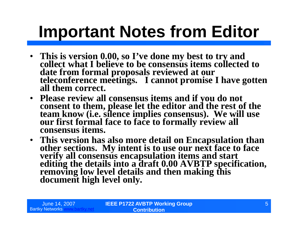### **Important Notes from Editor**

- **This is version 0.00, so I've done my best to try and collect what I believe to be consensus items collected to date from formal proposals reviewed at our teleconference meetings. I cannot promise I have gotten all them correct.**
- **Please review all consensus items and if you do not consent to them, please let the editor and the rest of the team know (i.e. silence implies consensus). We will use our first formal face to face to formally review all consensus items.**
- **This version has also more detail on Encapsulation than other sections. My intent is to use our next face to face verify all consensus encapsulation items and start editing the details into a draft 0.00 AVBTP specification, removing low level details and then making this document high level only.**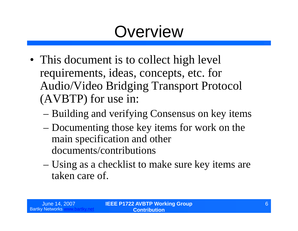#### **Overview**

- This document is to collect high level requirements, ideas, concepts, etc. for Audio/Video Bridging Transport Protocol (AVBTP) for use in:
	- –Building and verifying Consensus on key items
	- –Documenting those key items for work on the main specification and other documents/contributions
	- –Using as a checklist to make sure key items are taken care of.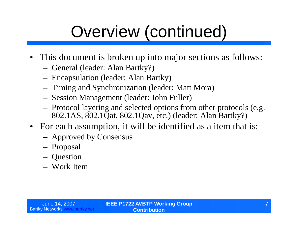#### Overview (continued)

- This document is broken up into major sections as follows:
	- General (leader: Alan Bartky?)
	- Encapsulation (leader: Alan Bartky)
	- Timing and Synchronization (leader: Matt Mora)
	- Session Management (leader: John Fuller)
	- Protocol layering and selected options from other protocols (e.g. 802.1AS, 802.1Qat, 802.1Qav, etc.) (leader: Alan Bartky?)
- For each assumption, it will be identified as a item that is:
	- Approved by Consensus
	- Proposal
	- Question
	- Work Item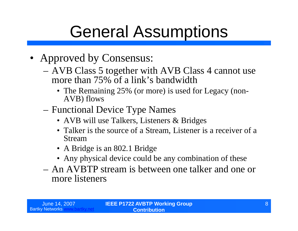#### General Assumptions

- Approved by Consensus:
	- –AVB Class 5 together with AVB Class 4 cannot use more than 75% of a link's bandwidth
		- The Remaining 25% (or more) is used for Legacy (non-AVB) flows
	- –Functional Device Type Names
		- AVB will use Talkers, Listeners & Bridges
		- Talker is the source of a Stream, Listener is a receiver of a Stream
		- A Bridge is an 802.1 Bridge
		- Any physical device could be any combination of these
	- –An AVBTP stream is between one talker and one or more listeners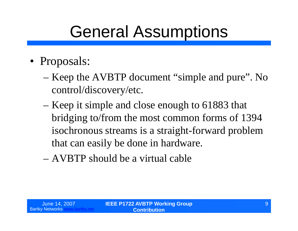#### General Assumptions

- Proposals:
	- –Keep the AVBTP document "simple and pure". No control/discovery/etc.
	- –Keep it simple and close enough to 61883 that bridging to/from the most common forms of 1394 isochronous streams is a straight-forward problem that can easily be done in hardware.
	- –AVBTP should be a virtual cable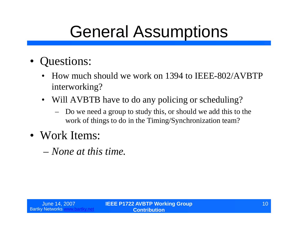#### General Assumptions

- •Questions:
	- How much should we work on 1394 to IEEE-802/AVBTP interworking?
	- Will AVBTB have to do any policing or scheduling?
		- Do we need a group to study this, or should we add this to the work of things to do in the Timing/Synchronization team?
- Work Items:
	- –*None at this time.*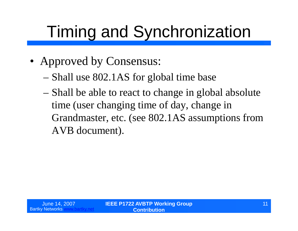- Approved by Consensus:
	- –Shall use 802.1AS for global time base
	- –Shall be able to react to change in global absolute time (user changing time of day, change in Grandmaster, etc. (see 802.1AS assumptions from AVB document).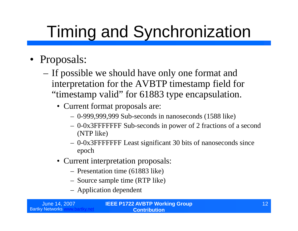- Proposals:
	- –If possible we should have only one format and interpretation for the AVBTP timestamp field for "timestamp valid" for 61883 type encapsulation.
		- Current format proposals are:
			- 0-999,999,999 Sub-seconds in nanoseconds (1588 like)
			- 0-0x3FFFFFFF Sub-seconds in power of 2 fractions of a second (NTP like)
			- 0-0x3FFFFFFF Least significant 30 bits of nanoseconds since epoch
		- •Current interpretation proposals:
			- Presentation time (61883 like)
			- Source sample time (RTP like)
			- Application dependent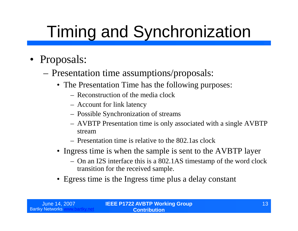- Proposals:
	- –Presentation time assumptions/proposals:
		- The Presentation Time has the following purposes:
			- Reconstruction of the media clock
			- Account for link latency
			- Possible Synchronization of streams
			- AVBTP Presentation time is only associated with a single AVBTP stream
			- Presentation time is relative to the 802.1as clock
		- Ingress time is when the sample is sent to the AVBTP layer
			- On an I2S interface this is a 802.1AS timestamp of the word clock transition for the received sample.
		- Egress time is the Ingress time plus a delay constant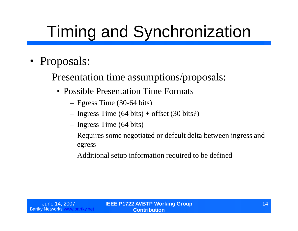- Proposals:
	- –Presentation time assumptions/proposals:
		- Possible Presentation Time Formats
			- –Egress Time (30-64 bits)
			- $-$  Ingress Time (64 bits) + offset (30 bits?)
			- –Ingress Time (64 bits)
			- –Requires some negotiated or default delta between ingress and egress
			- –Additional setup information required to be defined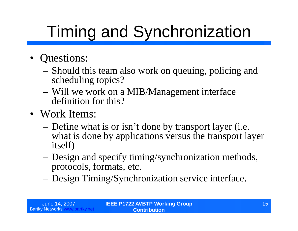- Questions:
	- –Should this team also work on queuing, policing and scheduling topics?
	- –Will we work on a MIB/Management interface definition for this?
- Work Items:
	- –Define what is or isn't done by transport layer (i.e. what is done by applications versus the transport layer itself)
	- –Design and specify timing/synchronization methods, protocols, formats, etc.
	- –Design Timing/Synchronization service interface.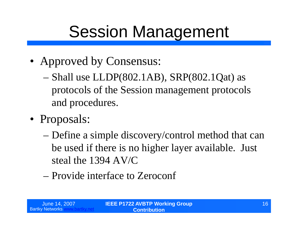#### Session Management

- Approved by Consensus:
	- –Shall use LLDP(802.1AB), SRP(802.1Qat) as protocols of the Session management protocols and procedures.
- Proposals:
	- –Define a simple discovery/control method that can be used if there is no higher layer available. Just steal the 1394 AV/C
	- –Provide interface to Zeroconf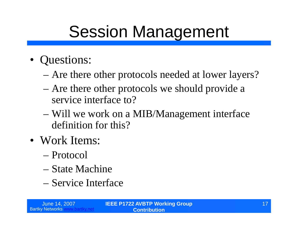### Session Management

- Questions:
	- –Are there other protocols needed at lower layers?
	- –Are there other protocols we should provide a service interface to?
	- –Will we work on a MIB/Management interface definition for this?
- Work Items:
	- –Protocol
	- –State Machine
	- –Service Interface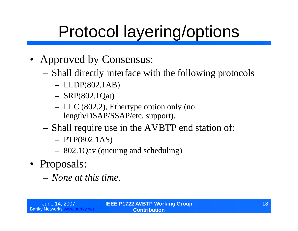## Protocol layering/options

- Approved by Consensus:
	- –Shall directly interface with the following protocols
		- LLDP(802.1AB)
		- SRP(802.1Qat)
		- LLC (802.2), Ethertype option only (no length/DSAP/SSAP/etc. support).
	- –Shall require use in the AVBTP end station of:
		- PTP(802.1AS)
		- 802.1Qav (queuing and scheduling)
- Proposals:
	- –*None at this time.*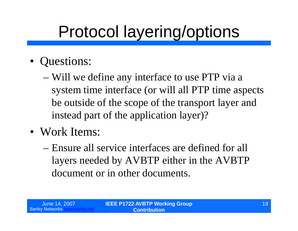### Protocol layering/options

- Questions:
	- –Will we define any interface to use PTP via a system time interface (or will all PTP time aspects be outside of the scope of the transport layer and instead part of the application layer)?
- Work Items:
	- –Ensure all service interfaces are defined for all layers needed by AVBTP either in the AVBTP document or in other documents.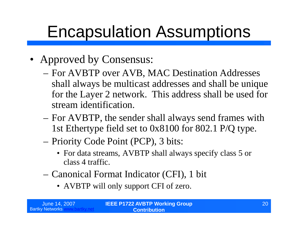- Approved by Consensus:
	- –For AVBTP over AVB, MAC Destination Addresses shall always be multicast addresses and shall be unique for the Layer 2 network. This address shall be used for stream identification.
	- –For AVBTP, the sender shall always send frames with 1st Ethertype field set to 0x8100 for 802.1 P/Q type.
	- –Priority Code Point (PCP), 3 bits:
		- For data streams, AVBTP shall always specify class 5 or class 4 traffic.
	- –Canonical Format Indicator (CFI), 1 bit
		- AVBTP will only support CFI of zero.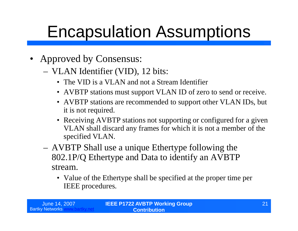- Approved by Consensus:
	- VLAN Identifier (VID), 12 bits:
		- The VID is a VLAN and not a Stream Identifier
		- AVBTP stations must support VLAN ID of zero to send or receive.
		- •AVBTP stations are recommended to support other VLAN IDs, but it is not required.
		- Receiving AVBTP stations not supporting or configured for a given VLAN shall discard any frames for which it is not a member of the specified VLAN.
	- AVBTP Shall use a unique Ethertype following the 802.1P/Q Ethertype and Data to identify an AVBTP stream.
		- Value of the Ethertype shall be specified at the proper time per IEEE procedures.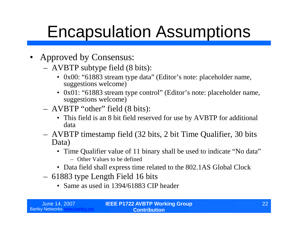- Approved by Consensus:
	- AVBTP subtype field (8 bits):
		- 0x00: "61883 stream type data" (Editor's note: placeholder name, suggestions welcome)
		- 0x01: "61883 stream type control"(Editor's note: placeholder name, suggestions welcome)
	- AVBTP "other" field (8 bits):
		- This field is an 8 bit field reserved for use by AVBTP for additional data
	- AVBTP timestamp field (32 bits, 2 bit Time Qualifier, 30 bits Data)
		- Time Qualifier value of 11 binary shall be used to indicate "No data"
			- Other Values to be defined
		- Data field shall express time related to the 802.1AS Global Clock
	- 61883 type Length Field 16 bits
		- Same as used in 1394/61883 CIP header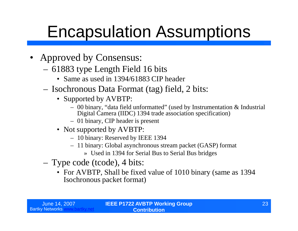- Approved by Consensus:
	- 61883 type Length Field 16 bits
		- Same as used in 1394/61883 CIP header
	- Isochronous Data Format (tag) field, 2 bits:
		- Supported by AVBTP:
			- 00 binary, "data field unformatted"(used by Instrumentation & Industrial Digital Camera (IIDC) 1394 trade association specification)
			- 01 binary, CIP header is present
		- Not supported by AVBTP:
			- 10 binary: Reserved by IEEE 1394
			- 11 binary: Global asynchronous stream packet (GASP) format
				- » Used in 1394 for Serial Bus to Serial Bus bridges
	- Type code (tcode), 4 bits:
		- For AVBTP, Shall be fixed value of 1010 binary (same as 1394) Isochronous packet format)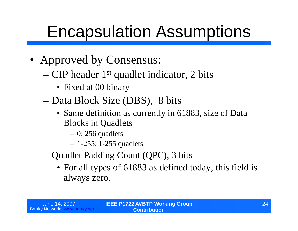- Approved by Consensus:
	- –CIP header 1st quadlet indicator, 2 bits
		- Fixed at 00 binary
	- –Data Block Size (DBS), 8 bits
		- Same definition as currently in 61883, size of Data Blocks in Quadlets
			- $-0$ : 256 quadlets
			- –1-255: 1-255 quadlets
	- –Quadlet Padding Count (QPC), 3 bits
		- For all types of 61883 as defined today, this field is always zero.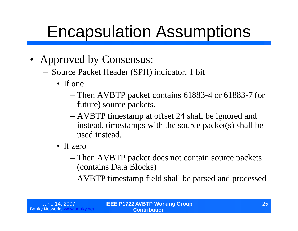- Approved by Consensus:
	- Source Packet Header (SPH) indicator, 1 bit
		- If one
			- –Then AVBTP packet contains 61883-4 or 61883-7 (or future) source packets.
			- –AVBTP timestamp at offset 24 shall be ignored and instead, timestamps with the source packet(s) shall be used instead.
		- If zero
			- –Then AVBTP packet does not contain source packets (contains Data Blocks)
			- –AVBTP timestamp field shall be parsed and processed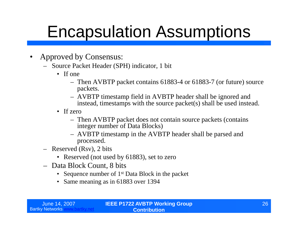- Approved by Consensus:
	- Source Packet Header (SPH) indicator, 1 bit
		- If one
			- Then AVBTP packet contains 61883-4 or 61883-7 (or future) source packets.
			- AVBTP timestamp field in AVBTP header shall be ignored and instead, timestamps with the source packet(s) shall be used instead.
		- If zero
			- Then AVBTP packet does not contain source packets (contains integer number of Data Blocks)
			- AVBTP timestamp in the AVBTP header shall be parsed and processed.
	- Reserved (Rsv), 2 bits
		- Reserved (not used by 61883), set to zero
	- Data Block Count, 8 bits
		- Sequence number of  $1<sup>st</sup>$  Data Block in the packet
		- Same meaning as in 61883 over 1394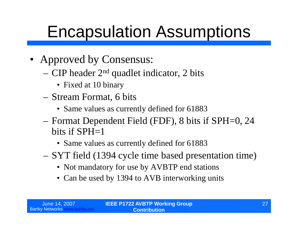- Approved by Consensus:
	- –CIP header 2nd quadlet indicator, 2 bits
		- Fixed at 10 binary
	- –Stream Format, 6 bits
		- Same values as currently defined for 61883
	- –Format Dependent Field (FDF), 8 bits if SPH=0, 24 bits if  $SPH=1$ 
		- Same values as currently defined for 61883
	- –SYT field (1394 cycle time based presentation time)
		- Not mandatory for use by AVBTP end stations
		- Can be used by 1394 to AVB interworking units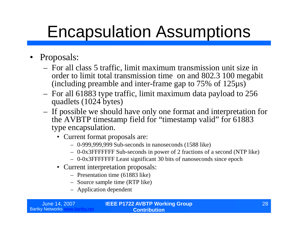- Proposals:
	- For all class 5 traffic, limit maximum transmission unit size in order to limit total transmission time on and 802.3 100 megabit (including preamble and inter-frame gap to 75% of 125µs)
	- For all 61883 type traffic, limit maximum data payload to 256 quadlets (1024 bytes)
	- If possible we should have only one format and interpretation for the AVBTP timestamp field for "timestamp valid" for 61883 type encapsulation.
		- Current format proposals are:
			- 0-999,999,999 Sub-seconds in nanoseconds (1588 like)
			- 0-0x3FFFFFFF Sub-seconds in power of 2 fractions of a second (NTP like)
			- 0-0x3FFFFFFF Least significant 30 bits of nanoseconds since epoch
		- Current interpretation proposals:
			- Presentation time (61883 like)
			- Source sample time (RTP like)
			- Application dependent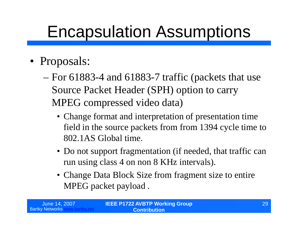- Proposals:
	- –For 61883-4 and 61883-7 traffic (packets that use Source Packet Header (SPH) option to carry MPEG compressed video data)
		- •Change format and interpretation of presentation time field in the source packets from from 1394 cycle time to 802.1AS Global time.
		- Do not support fragmentation (if needed, that traffic can run using class 4 on non 8 KHz intervals).
		- Change Data Block Size from fragment size to entire MPEG packet payload .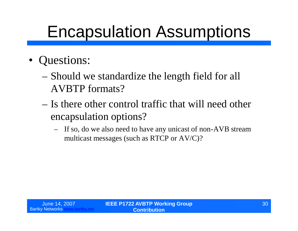- Questions:
	- –Should we standardize the length field for all AVBTP formats?
	- –Is there other control traffic that will need other encapsulation options?
		- If so, do we also need to have any unicast of non-AVB stream multicast messages (such as RTCP or AV/C)?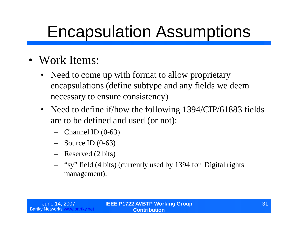- Work Items:
	- Need to come up with format to allow proprietary encapsulations (define subtype and any fields we deem necessary to ensure consistency)
	- Need to define if/how the following 1394/CIP/61883 fields are to be defined and used (or not):
		- Channel ID  $(0-63)$
		- Source ID  $(0-63)$
		- Reserved (2 bits)
		- "sy"field (4 bits) (currently used by 1394 for Digital rights management).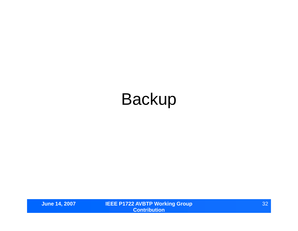#### Backup

**June 14, 2007 IEEE P1722 AVBTP Working Group Contribution**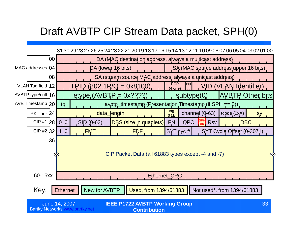#### Draft AVBTP CIP Stream Data packet, SPH(0)



**Contribution**

Bartky Networks www.bartky.net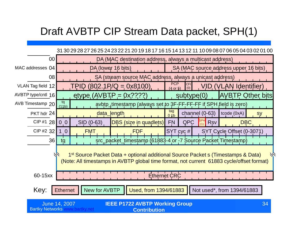#### Draft AVBTP CIP Stream Data packet, SPH(1)

#### 31 30 29 28 27 26 25 24 23 22 21 20 19 18 17 16 15 14 13 12 11 10 09 08 07 06 05 04 03 02 01 00

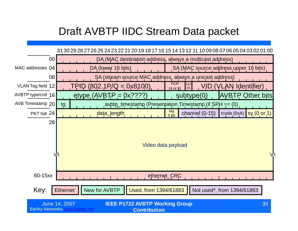#### Draft AVBTP IIDC Stream Data packet

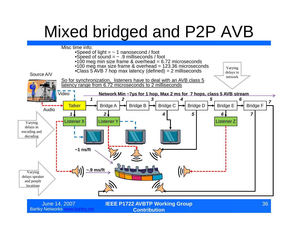#### Mixed bridged and P2P AVB

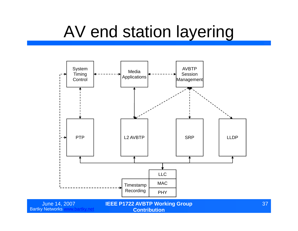#### AV end station layering

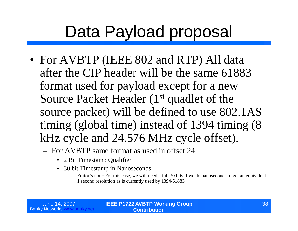#### Data Payload proposal

- For AVBTP (IEEE 802 and RTP) All data after the CIP header will be the same 61883 format used for payload except for a new Source Packet Header (1<sup>st</sup> quadlet of the source packet) will be defined to use 802.1AS timing (global time) instead of 1394 timing (8 kHz cycle and 24.576 MHz cycle offset).
	- For AVBTP same format as used in offset 24
		- 2 Bit Timestamp Qualifier
		- 30 bit Timestamp in Nanoseconds
			- Editor's note: For this case, we will need a full 30 bits if we do nanoseconds to get an equivalent 1 second resolution as is currently used by 1394/61883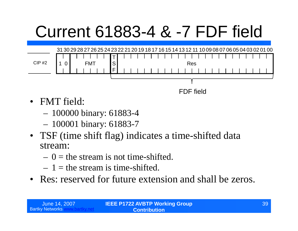### Current 61883-4 & -7 FDF field



FDF field

- FMT field:
	- 100000 binary: 61883-4
	- 100001 binary: 61883-7
- TSF (time shift flag) indicates a time-shifted data stream:
	- $-0$  = the stream is not time-shifted.
	- $-1$  = the stream is time-shifted.
- Res: reserved for future extension and shall be zeros.